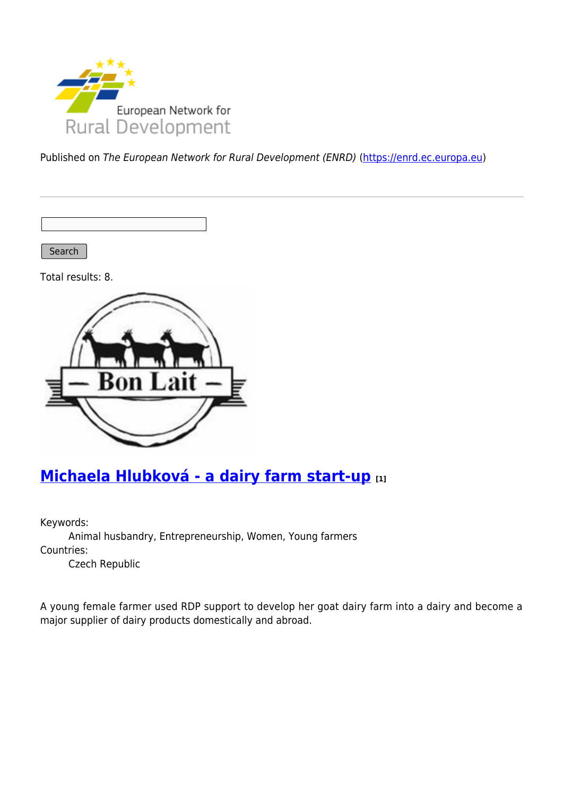

Published on The European Network for Rural Development (ENRD) [\(https://enrd.ec.europa.eu](https://enrd.ec.europa.eu))

Search

Total results: 8.



#### **[Michaela Hlubková - a dairy farm start-up](https://enrd.ec.europa.eu/projects-practice/michaela-hlubkova-dairy-farm-start_en) [1]**

Keywords:

Animal husbandry, Entrepreneurship, Women, Young farmers Countries:

Czech Republic

A young female farmer used RDP support to develop her goat dairy farm into a dairy and become a major supplier of dairy products domestically and abroad.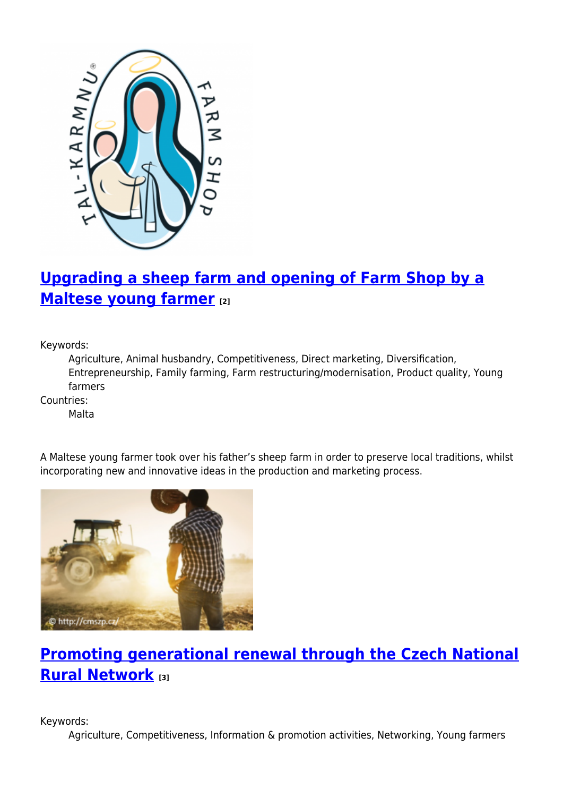

# **[Upgrading a sheep farm and opening of Farm Shop by a](https://enrd.ec.europa.eu/projects-practice/upgrading-sheep-farm-and-opening-farm-shop-maltese-young-farmer_en) [Maltese young farmer](https://enrd.ec.europa.eu/projects-practice/upgrading-sheep-farm-and-opening-farm-shop-maltese-young-farmer_en) [2]**

Keywords:

Agriculture, Animal husbandry, Competitiveness, Direct marketing, Diversification, Entrepreneurship, Family farming, Farm restructuring/modernisation, Product quality, Young farmers

Countries:

Malta



A Maltese young farmer took over his father's sheep farm in order to preserve local traditions, whilst incorporating new and innovative ideas in the production and marketing process.

#### **[Promoting generational renewal through the Czech National](https://enrd.ec.europa.eu/projects-practice/promoting-generational-renewal-through-czech-national-rural-network_en) [Rural Network](https://enrd.ec.europa.eu/projects-practice/promoting-generational-renewal-through-czech-national-rural-network_en) [3]**

Keywords:

Agriculture, Competitiveness, Information & promotion activities, Networking, Young farmers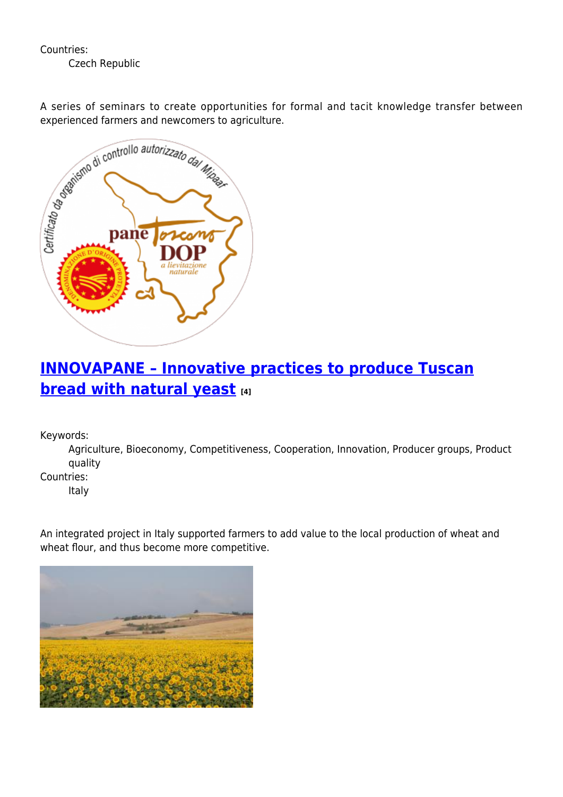Countries:

Czech Republic

experienced farmers and newcomers to agriculture.



#### **[INNOVAPANE – Innovative practices to produce Tuscan](https://enrd.ec.europa.eu/projects-practice/innovapane-innovative-practices-produce-tuscan-bread-natural-yeast_en) [bread with natural yeast](https://enrd.ec.europa.eu/projects-practice/innovapane-innovative-practices-produce-tuscan-bread-natural-yeast_en) [4]**

Keywords:

Agriculture, Bioeconomy, Competitiveness, Cooperation, Innovation, Producer groups, Product quality

Countries:

Italy

An integrated project in Italy supported farmers to add value to the local production of wheat and wheat flour, and thus become more competitive.

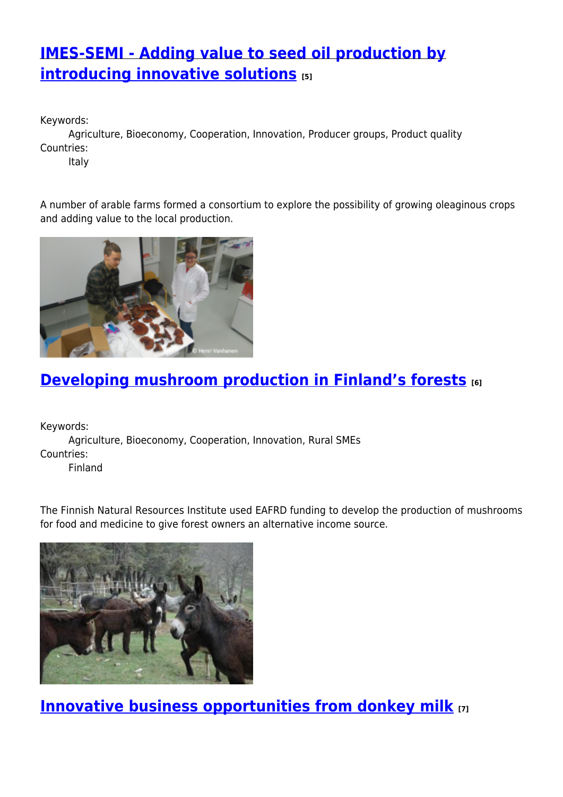## **[IMES-SEMI - Adding value to seed oil production by](https://enrd.ec.europa.eu/projects-practice/imes-semi-adding-value-seed-oil-production-introducing-innovative-solutions_en) [introducing innovative solutions](https://enrd.ec.europa.eu/projects-practice/imes-semi-adding-value-seed-oil-production-introducing-innovative-solutions_en) [5]**

Keywords:

Agriculture, Bioeconomy, Cooperation, Innovation, Producer groups, Product quality Countries:

Italy

A number of arable farms formed a consortium to explore the possibility of growing oleaginous crops and adding value to the local production.



## **[Developing mushroom production in Finland's forests](https://enrd.ec.europa.eu/projects-practice/developing-mushroom-production-finlands-forests_en) [6]**

Keywords: Agriculture, Bioeconomy, Cooperation, Innovation, Rural SMEs Countries:

Finland

The Finnish Natural Resources Institute used EAFRD funding to develop the production of mushrooms for food and medicine to give forest owners an alternative income source.



**[Innovative business opportunities from donkey milk](https://enrd.ec.europa.eu/projects-practice/innovative-business-opportunities-donkey-milk_en) [7]**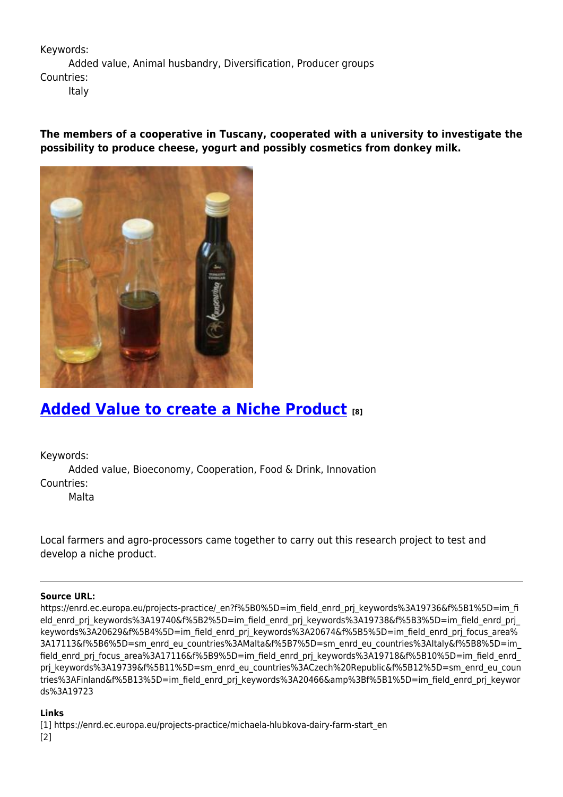Keywords:

Added value, Animal husbandry, Diversification, Producer groups Countries:

Italy

**The members of a cooperative in Tuscany, cooperated with a university to investigate the possibility to produce cheese, yogurt and possibly cosmetics from donkey milk.** 



#### **[Added Value to create a Niche Product](https://enrd.ec.europa.eu/projects-practice/added-value-create-niche-product_en) [8]**

Keywords:

Added value, Bioeconomy, Cooperation, Food & Drink, Innovation Countries:

Malta

Local farmers and agro-processors came together to carry out this research project to test and develop a niche product.

#### **Source URL:**

https://enrd.ec.europa.eu/projects-practice/\_en?f%5B0%5D=im\_field\_enrd\_prj\_keywords%3A19736&f%5B1%5D=im\_fi eld enrd prj keywords%3A19740&f%5B2%5D=im field enrd prj keywords%3A19738&f%5B3%5D=im field enrd prj keywords%3A20629&f%5B4%5D=im\_field\_enrd\_prj\_keywords%3A20674&f%5B5%5D=im\_field\_enrd\_prj\_focus\_area% 3A17113&f%5B6%5D=sm\_enrd\_eu\_countries%3AMalta&f%5B7%5D=sm\_enrd\_eu\_countries%3AItaly&f%5B8%5D=im\_ field\_enrd\_prj\_focus\_area%3A17116&f%5B9%5D=im\_field\_enrd\_prj\_keywords%3A19718&f%5B10%5D=im\_field\_enrd prj keywords%3A19739&f%5B11%5D=sm\_enrd\_eu\_countries%3ACzech%20Republic&f%5B12%5D=sm\_enrd\_eu\_coun tries%3AFinland&f%5B13%5D=im\_field\_enrd\_prj\_keywords%3A20466&amp%3Bf%5B1%5D=im\_field\_enrd\_prj\_keywor ds%3A19723

#### **Links**

[1] https://enrd.ec.europa.eu/projects-practice/michaela-hlubkova-dairy-farm-start\_en [2]